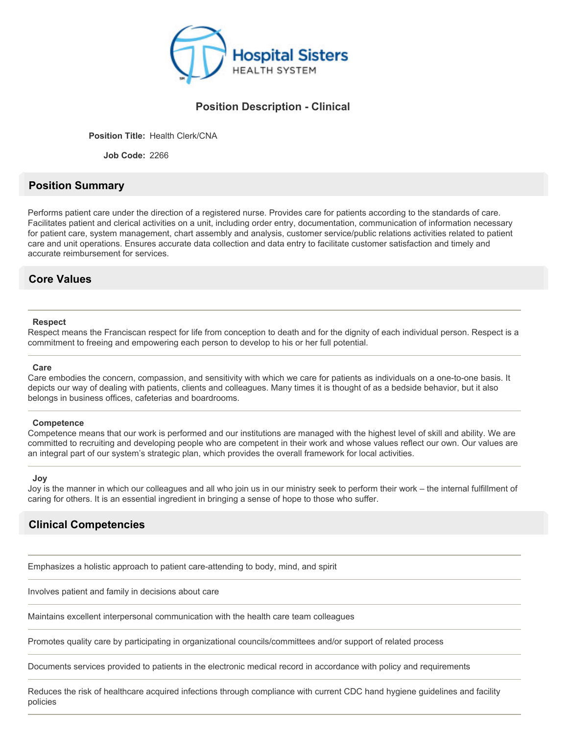

### **Position Description - Clinical**

**Position Title:** Health Clerk/CNA

**Job Code:** 2266

# **Position Summary**

Performs patient care under the direction of a registered nurse. Provides care for patients according to the standards of care. Facilitates patient and clerical activities on a unit, including order entry, documentation, communication of information necessary for patient care, system management, chart assembly and analysis, customer service/public relations activities related to patient care and unit operations. Ensures accurate data collection and data entry to facilitate customer satisfaction and timely and accurate reimbursement for services.

### **Core Values**

### **Respect**

Respect means the Franciscan respect for life from conception to death and for the dignity of each individual person. Respect is a commitment to freeing and empowering each person to develop to his or her full potential.

### **Care**

Care embodies the concern, compassion, and sensitivity with which we care for patients as individuals on a one-to-one basis. It depicts our way of dealing with patients, clients and colleagues. Many times it is thought of as a bedside behavior, but it also belongs in business offices, cafeterias and boardrooms.

### **Competence**

Competence means that our work is performed and our institutions are managed with the highest level of skill and ability. We are committed to recruiting and developing people who are competent in their work and whose values reflect our own. Our values are an integral part of our system's strategic plan, which provides the overall framework for local activities.

#### **Joy**

Joy is the manner in which our colleagues and all who join us in our ministry seek to perform their work – the internal fulfillment of caring for others. It is an essential ingredient in bringing a sense of hope to those who suffer.

# **Clinical Competencies**

Emphasizes a holistic approach to patient care-attending to body, mind, and spirit

Involves patient and family in decisions about care

Maintains excellent interpersonal communication with the health care team colleagues

Promotes quality care by participating in organizational councils/committees and/or support of related process

Documents services provided to patients in the electronic medical record in accordance with policy and requirements

Reduces the risk of healthcare acquired infections through compliance with current CDC hand hygiene guidelines and facility policies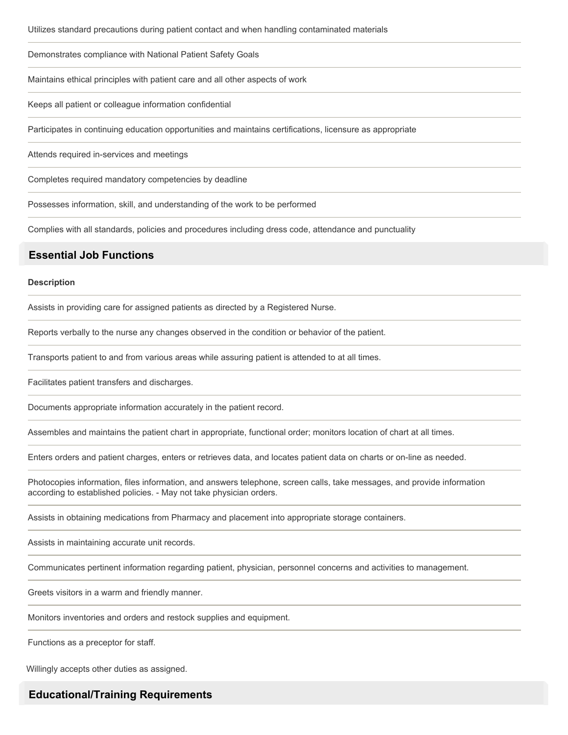Demonstrates compliance with National Patient Safety Goals

Maintains ethical principles with patient care and all other aspects of work

Keeps all patient or colleague information confidential

Participates in continuing education opportunities and maintains certifications, licensure as appropriate

Attends required in-services and meetings

Completes required mandatory competencies by deadline

Possesses information, skill, and understanding of the work to be performed

Complies with all standards, policies and procedures including dress code, attendance and punctuality

### **Essential Job Functions**

#### **Description**

Assists in providing care for assigned patients as directed by a Registered Nurse.

Reports verbally to the nurse any changes observed in the condition or behavior of the patient.

Transports patient to and from various areas while assuring patient is attended to at all times.

Facilitates patient transfers and discharges.

Documents appropriate information accurately in the patient record.

Assembles and maintains the patient chart in appropriate, functional order; monitors location of chart at all times.

Enters orders and patient charges, enters or retrieves data, and locates patient data on charts or on-line as needed.

Photocopies information, files information, and answers telephone, screen calls, take messages, and provide information according to established policies. - May not take physician orders.

Assists in obtaining medications from Pharmacy and placement into appropriate storage containers.

Assists in maintaining accurate unit records.

Communicates pertinent information regarding patient, physician, personnel concerns and activities to management.

Greets visitors in a warm and friendly manner.

Monitors inventories and orders and restock supplies and equipment.

Functions as a preceptor for staff.

Willingly accepts other duties as assigned.

### **Educational/Training Requirements**